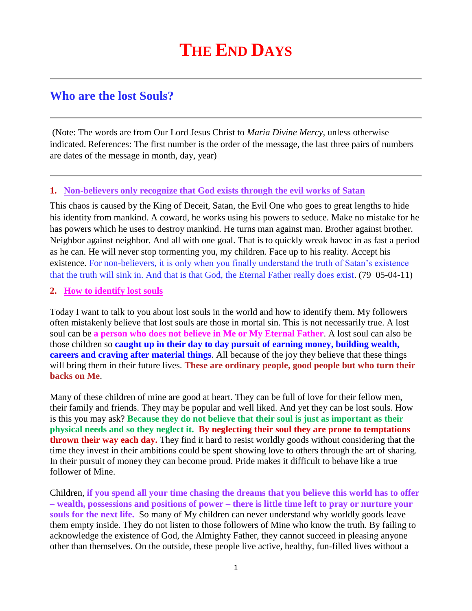# **Who are the lost Souls?**

(Note: The words are from Our Lord Jesus Christ to *Maria Divine Mercy*, unless otherwise indicated. References: The first number is the order of the message, the last three pairs of numbers are dates of the message in month, day, year)

## **1. Non-believers only recognize that God exists through the evil works of Satan**

This chaos is caused by the King of Deceit, Satan, the Evil One who goes to great lengths to hide his identity from mankind. A coward, he works using his powers to seduce. Make no mistake for he has powers which he uses to destroy mankind. He turns man against man. Brother against brother. Neighbor against neighbor. And all with one goal. That is to quickly wreak havoc in as fast a period as he can. He will never stop tormenting you, my children. Face up to his reality. Accept his existence. For non-believers, it is only when you finally understand the truth of Satan's existence that the truth will sink in. And that is that God, the Eternal Father really does exist. (79 05-04-11)

#### **2. How to identify lost souls**

Today I want to talk to you about lost souls in the world and how to identify them. My followers often mistakenly believe that lost souls are those in mortal sin. This is not necessarily true. A lost soul can be **a person who does not believe in Me or My Eternal Father**. A lost soul can also be those children so **caught up in their day to day pursuit of earning money, building wealth, careers and craving after material things**. All because of the joy they believe that these things will bring them in their future lives. **These are ordinary people, good people but who turn their backs on Me**.

Many of these children of mine are good at heart. They can be full of love for their fellow men, their family and friends. They may be popular and well liked. And yet they can be lost souls. How is this you may ask? **Because they do not believe that their soul is just as important as their physical needs and so they neglect it. By neglecting their soul they are prone to temptations thrown their way each day.** They find it hard to resist worldly goods without considering that the time they invest in their ambitions could be spent showing love to others through the art of sharing. In their pursuit of money they can become proud. Pride makes it difficult to behave like a true follower of Mine.

Children, **if you spend all your time chasing the dreams that you believe this world has to offer – wealth, possessions and positions of power – there is little time left to pray or nurture your souls for the next life.** So many of My children can never understand why worldly goods leave them empty inside. They do not listen to those followers of Mine who know the truth. By failing to acknowledge the existence of God, the Almighty Father, they cannot succeed in pleasing anyone other than themselves. On the outside, these people live active, healthy, fun-filled lives without a